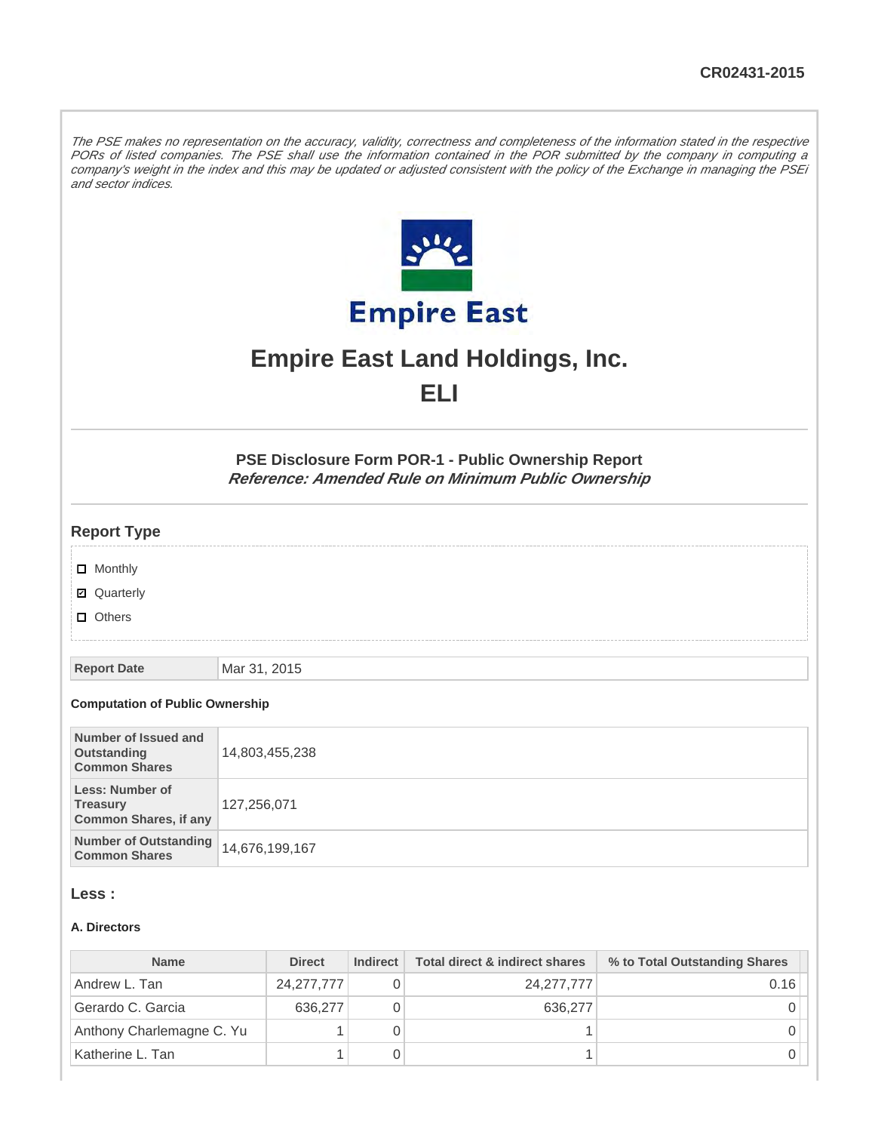The PSE makes no representation on the accuracy, validity, correctness and completeness of the information stated in the respective PORs of listed companies. The PSE shall use the information contained in the POR submitted by the company in computing a company's weight in the index and this may be updated or adjusted consistent with the policy of the Exchange in managing the PSEi and sector indices.



# **Empire East Land Holdings, Inc. ELI**

**PSE Disclosure Form POR-1 - Public Ownership Report Reference: Amended Rule on Minimum Public Ownership**

## **Report Type**

- **D** Monthly
- Quarterly
- **D** Others

**Report Date** Mar 31, 2015

#### **Computation of Public Ownership**

| Number of Issued and<br>Outstanding<br><b>Common Shares</b>               | 14,803,455,238 |
|---------------------------------------------------------------------------|----------------|
| <b>Less: Number of</b><br><b>Treasury</b><br><b>Common Shares, if any</b> | 127,256,071    |
| <b>Number of Outstanding</b><br><b>Common Shares</b>                      | 14,676,199,167 |

## **Less :**

#### **A. Directors**

| <b>Name</b>               | <b>Direct</b> | <b>Indirect</b> | Total direct & indirect shares | % to Total Outstanding Shares |
|---------------------------|---------------|-----------------|--------------------------------|-------------------------------|
| Andrew L. Tan             | 24, 277, 777  |                 | 24, 277, 777                   | 0.16                          |
| Gerardo C. Garcia         | 636,277       |                 | 636,277                        |                               |
| Anthony Charlemagne C. Yu |               |                 |                                |                               |
| Katherine L. Tan          |               |                 |                                |                               |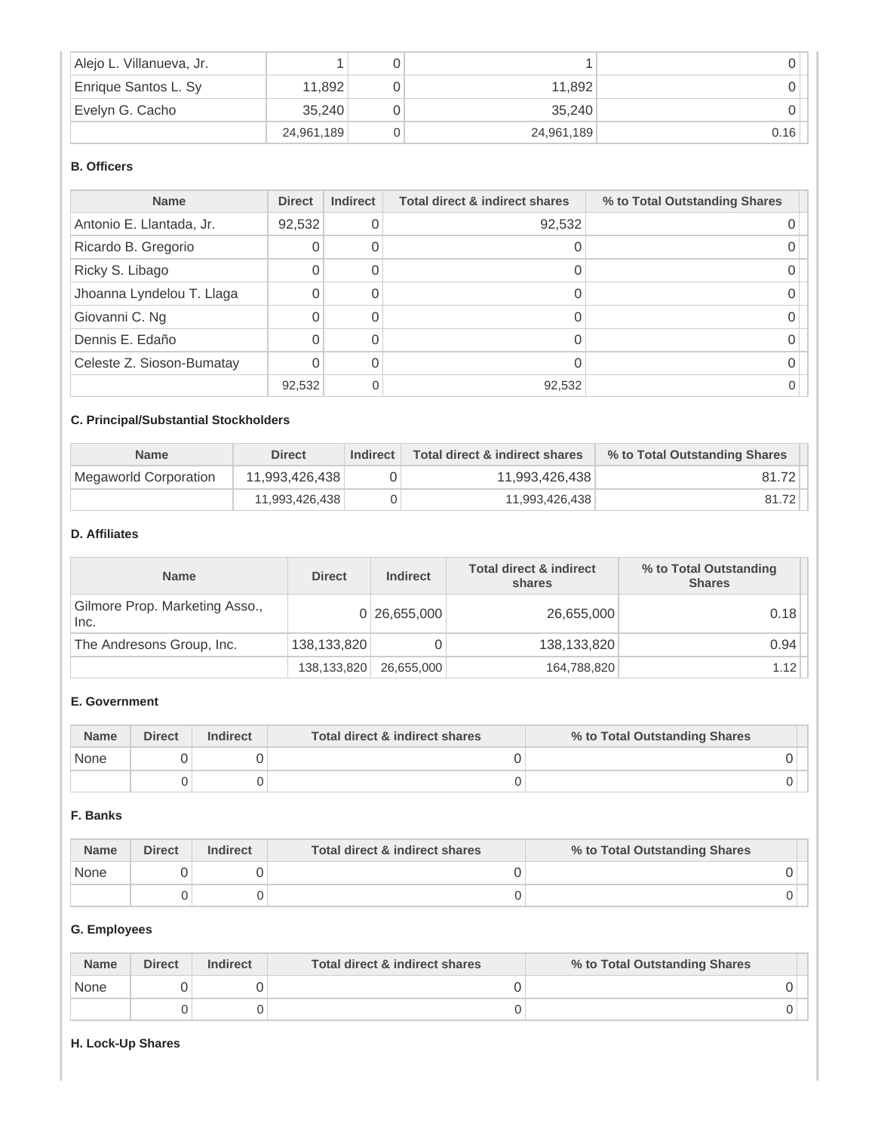| Alejo L. Villanueva, Jr. |            |            |      |
|--------------------------|------------|------------|------|
| Enrique Santos L. Sy     | 11,892     | 11.892     |      |
| Evelyn G. Cacho          | 35.240     | 35.240     |      |
|                          | 24,961,189 | 24,961,189 | 0.16 |

# **B. Officers**

| <b>Name</b>               | <b>Direct</b> | <b>Indirect</b> | <b>Total direct &amp; indirect shares</b> | % to Total Outstanding Shares |
|---------------------------|---------------|-----------------|-------------------------------------------|-------------------------------|
| Antonio E. Llantada, Jr.  | 92,532        |                 | 92,532                                    |                               |
| Ricardo B. Gregorio       |               |                 |                                           |                               |
| Ricky S. Libago           |               |                 |                                           |                               |
| Jhoanna Lyndelou T. Llaga |               |                 |                                           |                               |
| Giovanni C. Ng            |               |                 |                                           |                               |
| Dennis E. Edaño           |               |                 |                                           |                               |
| Celeste Z. Sioson-Bumatay |               |                 |                                           |                               |
|                           | 92,532        |                 | 92,532                                    |                               |

# **C. Principal/Substantial Stockholders**

| <b>Name</b>           | <b>Direct</b>  | <b>Indirect</b> | Total direct & indirect shares | % to Total Outstanding Shares |
|-----------------------|----------------|-----------------|--------------------------------|-------------------------------|
| Megaworld Corporation | 11.993.426.438 |                 | 11.993.426.438                 | 81.72                         |
|                       | 11,993,426,438 |                 | 11,993,426,438                 | 81.72                         |

## **D. Affiliates**

| <b>Name</b>                            | <b>Direct</b> | <b>Indirect</b> | <b>Total direct &amp; indirect</b><br>shares | % to Total Outstanding<br><b>Shares</b> |
|----------------------------------------|---------------|-----------------|----------------------------------------------|-----------------------------------------|
| Gilmore Prop. Marketing Asso.,<br>Inc. |               | 0 26,655,000    | 26,655,000                                   | 0.18                                    |
| The Andresons Group, Inc.              | 138,133,820   |                 | 138,133,820                                  | 0.94                                    |
|                                        | 138,133,820   | 26,655,000      | 164,788,820                                  | 1.12                                    |

# **E. Government**

| <b>Name</b> | <b>Direct</b> | <b>Indirect</b> | Total direct & indirect shares | % to Total Outstanding Shares |
|-------------|---------------|-----------------|--------------------------------|-------------------------------|
| None        |               |                 |                                |                               |
|             |               |                 |                                |                               |

## **F. Banks**

| <b>Name</b> | <b>Direct</b> | <b>Indirect</b> | Total direct & indirect shares | % to Total Outstanding Shares |
|-------------|---------------|-----------------|--------------------------------|-------------------------------|
| None        |               |                 |                                |                               |
|             |               |                 |                                |                               |

## **G. Employees**

| <b>Name</b> | <b>Direct</b> | <b>Indirect</b> | Total direct & indirect shares | % to Total Outstanding Shares |
|-------------|---------------|-----------------|--------------------------------|-------------------------------|
| None        |               |                 |                                |                               |
|             |               |                 |                                |                               |

## **H. Lock-Up Shares**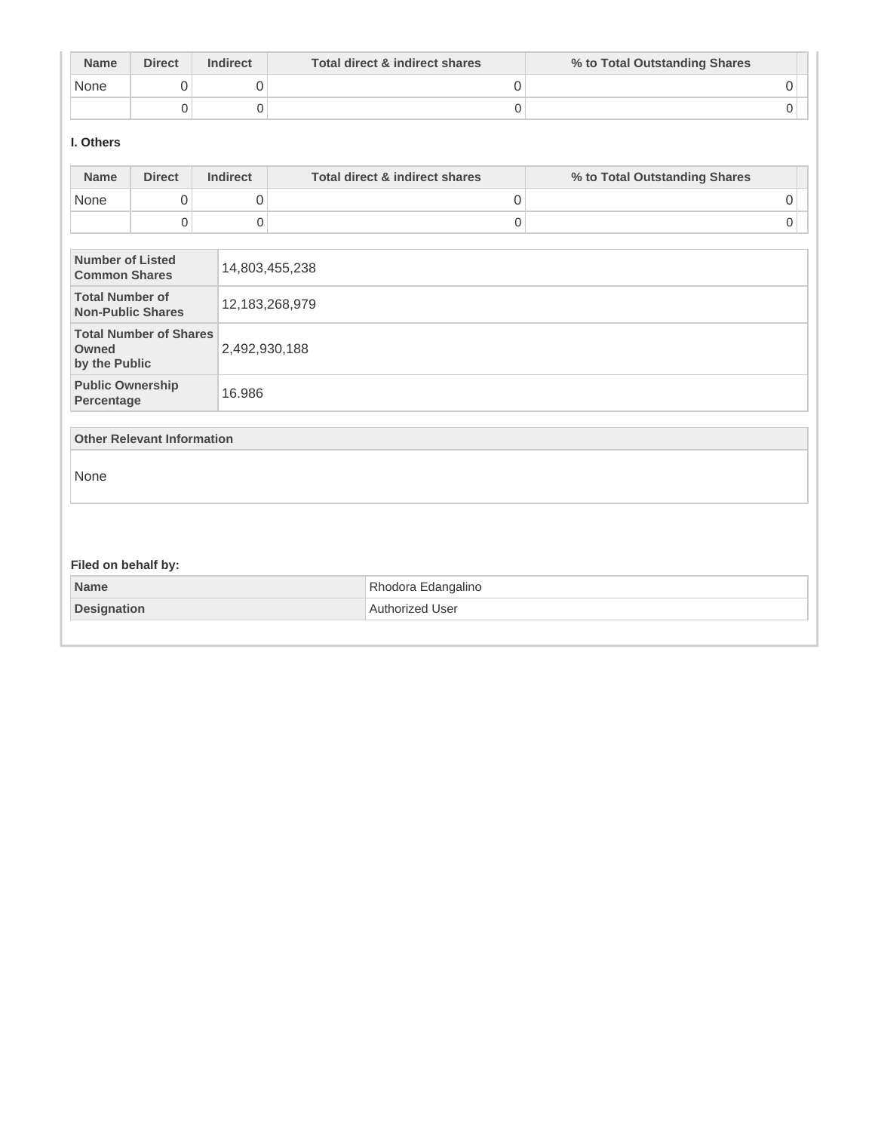| <b>Name</b> | <b>Direct</b> | <b>Indirect</b> | Total direct & indirect shares | % to Total Outstanding Shares |
|-------------|---------------|-----------------|--------------------------------|-------------------------------|
| None        |               |                 |                                |                               |
|             |               |                 |                                |                               |

## **I. Others**

| 0<br>0<br>None<br>0<br>$\boldsymbol{0}$<br>$\mathsf 0$<br>$\mathbf 0$<br><b>Number of Listed</b><br>14,803,455,238<br><b>Common Shares</b><br><b>Total Number of</b><br>12, 183, 268, 979<br><b>Non-Public Shares</b><br><b>Total Number of Shares</b><br>Owned<br>2,492,930,188<br>by the Public<br><b>Public Ownership</b><br>16.986<br>Percentage | 0<br>0 |
|------------------------------------------------------------------------------------------------------------------------------------------------------------------------------------------------------------------------------------------------------------------------------------------------------------------------------------------------------|--------|
|                                                                                                                                                                                                                                                                                                                                                      |        |
|                                                                                                                                                                                                                                                                                                                                                      |        |
|                                                                                                                                                                                                                                                                                                                                                      |        |
|                                                                                                                                                                                                                                                                                                                                                      |        |
|                                                                                                                                                                                                                                                                                                                                                      |        |
|                                                                                                                                                                                                                                                                                                                                                      |        |
| <b>Other Relevant Information</b>                                                                                                                                                                                                                                                                                                                    |        |
| None                                                                                                                                                                                                                                                                                                                                                 |        |
|                                                                                                                                                                                                                                                                                                                                                      |        |
| Filed on behalf by:                                                                                                                                                                                                                                                                                                                                  |        |
| <b>Name</b><br>Rhodora Edangalino                                                                                                                                                                                                                                                                                                                    |        |
| Authorized User<br><b>Designation</b>                                                                                                                                                                                                                                                                                                                |        |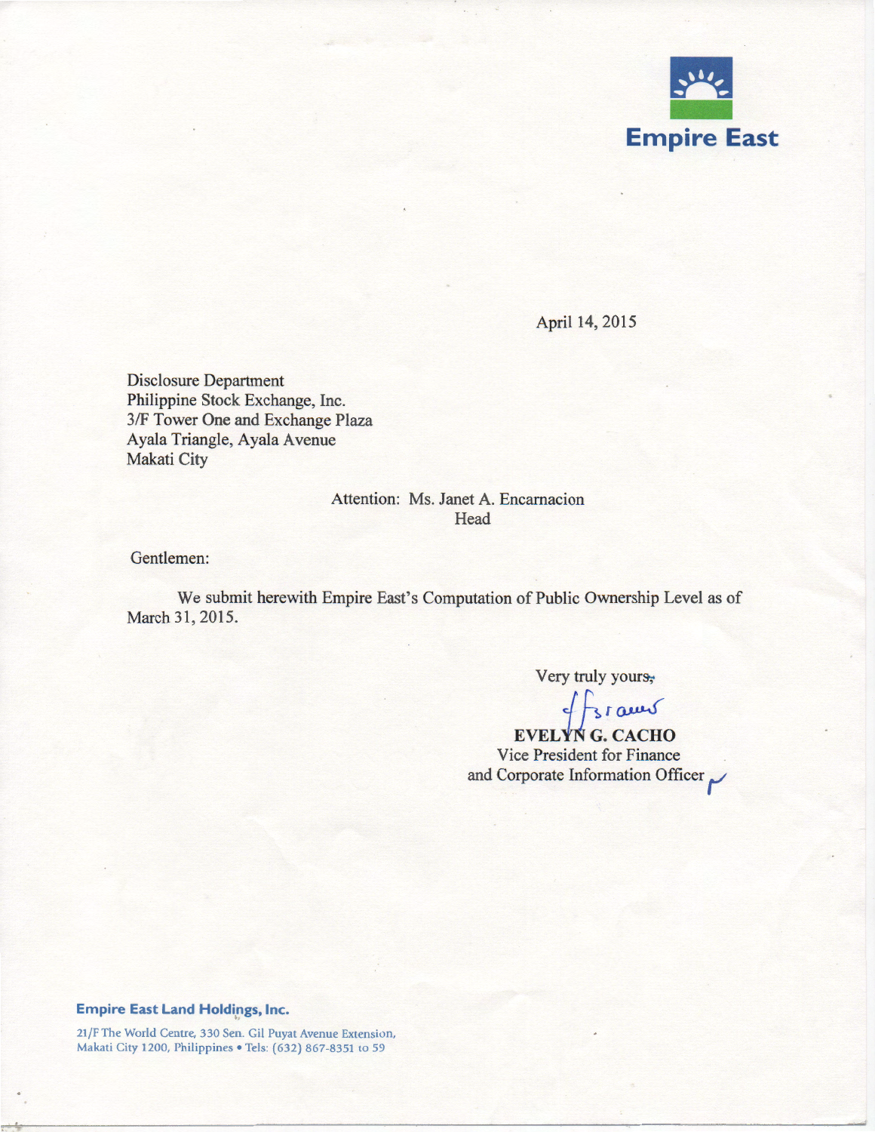

April 14, 2015

Disclosure Department Philippine Stock Exchange, Inc. 3/F Tower One and Exchange Plaza Ayala Triangle, Ayala Avenue Makati City

# Attention: Ms. Janet A. Encarnacion Head

Gentlemen:

We submit herewith Empire East's Computation of Public Ownership Level as of March 31, 2015.

Very truly yours,

 $EVELYN G.CACHO$ 

Vice President for Finance and Corporate Information Officer

#### **Empire East Land Holdings, Inc.**

21 /F The World Centre, 330 Sen. Gil Puyat Avenue Extension, Makati City 1200, Philippines • Tels: (632) 867-8351 to 59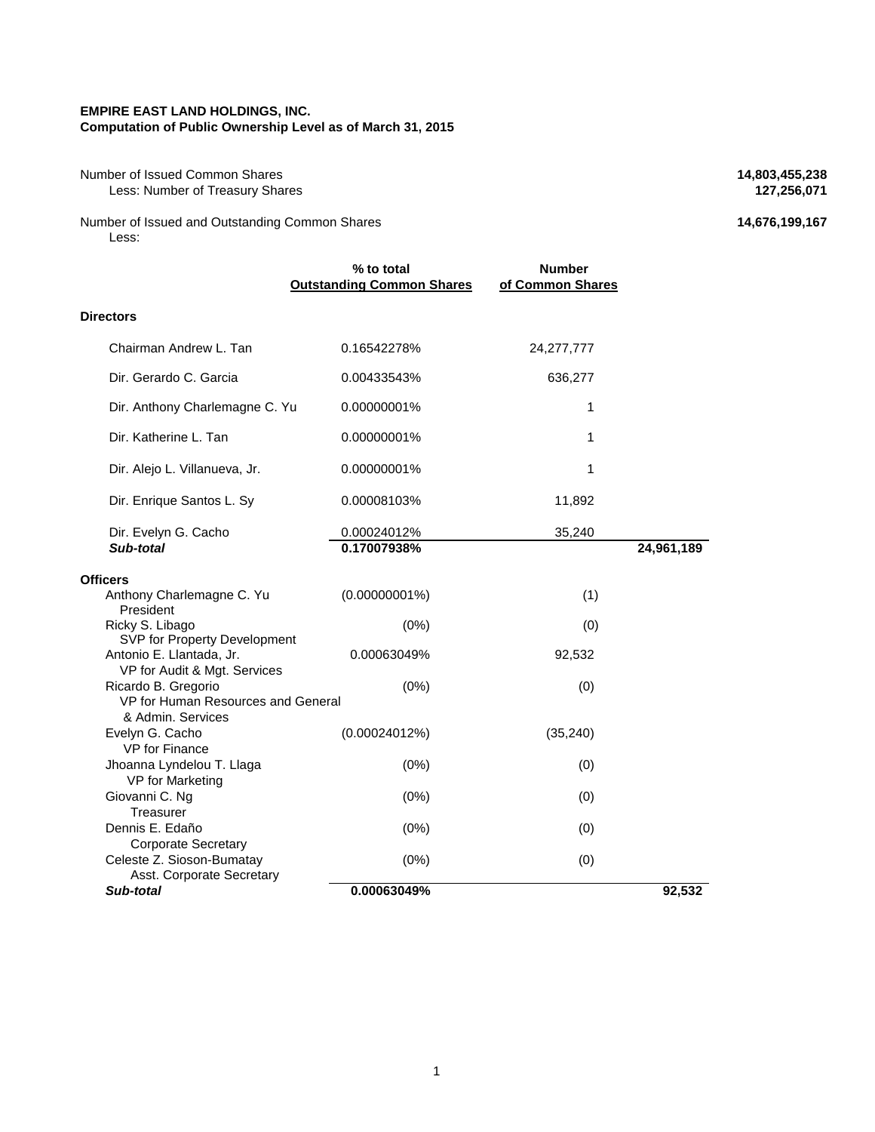#### **EMPIRE EAST LAND HOLDINGS, INC. Computation of Public Ownership Level as of March 31, 2015**

Number of Issued Common Shares **14,803,455,238**<br>Less: Number of Treasury Shares **127,256,071 127,256,071 Less: Number of Treasury Shares** 

Number of Issued and Outstanding Common Shares **14,676,199,167** Less:

|                                                                                | % to total<br><b>Outstanding Common Shares</b> | <b>Number</b><br>of Common Shares |            |
|--------------------------------------------------------------------------------|------------------------------------------------|-----------------------------------|------------|
| <b>Directors</b>                                                               |                                                |                                   |            |
| Chairman Andrew L. Tan                                                         | 0.16542278%                                    | 24, 277, 777                      |            |
| Dir. Gerardo C. Garcia                                                         | 0.00433543%                                    | 636,277                           |            |
| Dir. Anthony Charlemagne C. Yu                                                 | 0.00000001%                                    | 1                                 |            |
| Dir. Katherine L. Tan                                                          | 0.00000001%                                    | 1                                 |            |
| Dir. Alejo L. Villanueva, Jr.                                                  | 0.00000001%                                    | 1                                 |            |
| Dir. Enrique Santos L. Sy                                                      | 0.00008103%                                    | 11,892                            |            |
| Dir. Evelyn G. Cacho<br>Sub-total                                              | 0.00024012%<br>0.17007938%                     | 35,240                            | 24,961,189 |
| Officers                                                                       |                                                |                                   |            |
| Anthony Charlemagne C. Yu<br>President                                         | $(0.00000001\%)$                               | (1)                               |            |
| Ricky S. Libago<br>SVP for Property Development                                | (0%)                                           | (0)                               |            |
| Antonio E. Llantada, Jr.<br>VP for Audit & Mgt. Services                       | 0.00063049%                                    | 92,532                            |            |
| Ricardo B. Gregorio<br>VP for Human Resources and General<br>& Admin, Services | (0%)                                           | (0)                               |            |
| Evelyn G. Cacho<br>VP for Finance                                              | (0.00024012%)                                  | (35, 240)                         |            |
| Jhoanna Lyndelou T. Llaga<br>VP for Marketing                                  | (0%)                                           | (0)                               |            |
| Giovanni C. Ng<br>Treasurer                                                    | (0%)                                           | (0)                               |            |
| Dennis E. Edaño<br><b>Corporate Secretary</b>                                  | (0%)                                           | (0)                               |            |
| Celeste Z. Sioson-Bumatay<br>Asst. Corporate Secretary                         | (0%)                                           | (0)                               |            |
| Sub-total                                                                      | 0.00063049%                                    |                                   | 92,532     |